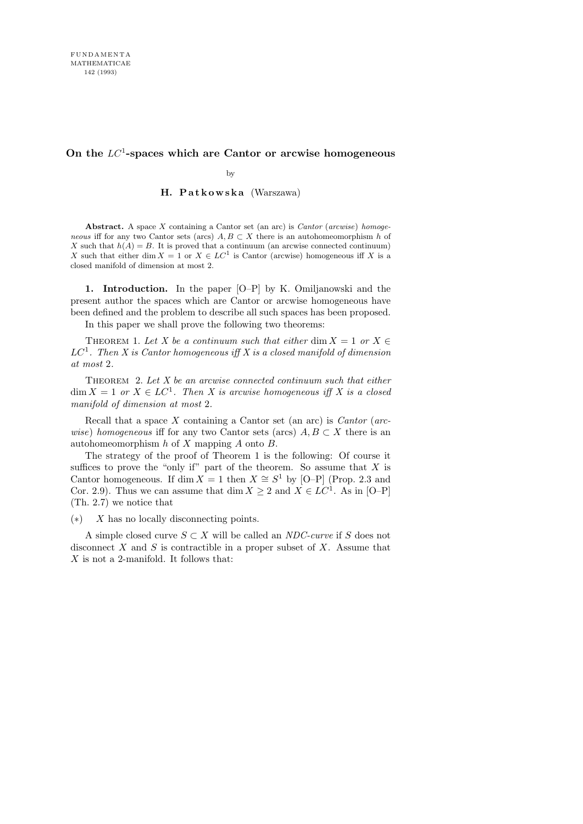## **On the** LC<sup>1</sup> **-spaces which are Cantor or arcwise homogeneous**

by

## H. Patkowska (Warszawa)

**Abstract.** A space *X* containing a Cantor set (an arc) is *Cantor* (*arcwise*) *homogeneous* iff for any two Cantor sets (arcs)  $A, B \subset X$  there is an autohomeomorphism *h* of *X* such that  $h(A) = B$ . It is proved that a continuum (an arcwise connected continuum) *X* such that either dim  $X = 1$  or  $X \in LC<sup>1</sup>$  is Cantor (arcwise) homogeneous iff *X* is a closed manifold of dimension at most 2.

1. Introduction. In the paper [O–P] by K. Omiljanowski and the present author the spaces which are Cantor or arcwise homogeneous have been defined and the problem to describe all such spaces has been proposed. In this paper we shall prove the following two theorems:

THEOREM 1. Let X be a continuum such that either dim  $X = 1$  or  $X \in$ 

 $LC<sup>1</sup>$ . Then X is Cantor homogeneous iff X is a closed manifold of dimension at most 2.

THEOREM 2. Let  $X$  be an arcwise connected continuum such that either  $\dim X = 1$  or  $X \in LC^1$ . Then X is arcwise homogeneous iff X is a closed manifold of dimension at most 2.

Recall that a space  $X$  containing a Cantor set (an arc) is *Cantor* (arcwise) homogeneous iff for any two Cantor sets (arcs)  $A, B \subset X$  there is an autohomeomorphism  $h$  of  $X$  mapping  $A$  onto  $B$ .

The strategy of the proof of Theorem 1 is the following: Of course it suffices to prove the "only if" part of the theorem. So assume that  $X$  is Cantor homogeneous. If dim  $X = 1$  then  $X \cong S<sup>1</sup>$  by [O–P] (Prop. 2.3 and Cor. 2.9). Thus we can assume that dim  $X \geq 2$  and  $X \in LC^1$ . As in [O–P] (Th. 2.7) we notice that

(∗) X has no locally disconnecting points.

A simple closed curve  $S \subset X$  will be called an *NDC-curve* if S does not disconnect  $X$  and  $S$  is contractible in a proper subset of  $X$ . Assume that X is not a 2-manifold. It follows that: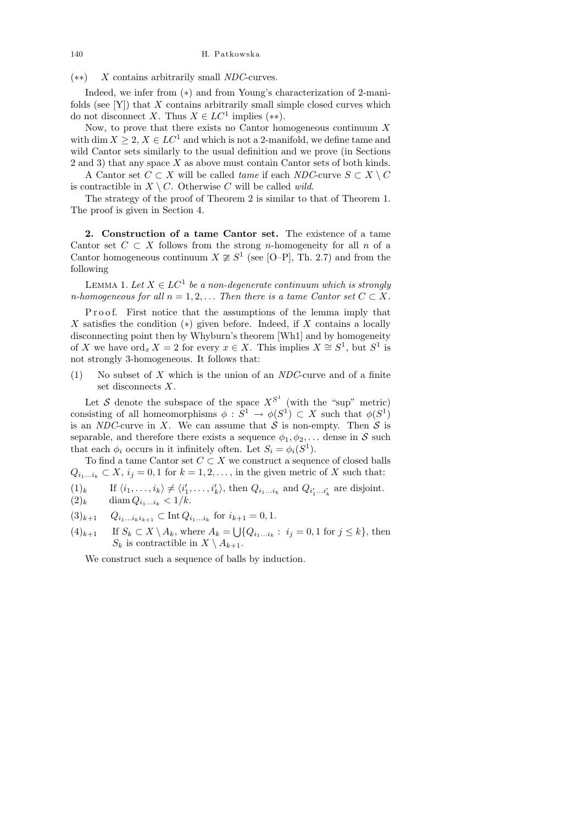140 H. Patkowska

(∗∗) X contains arbitrarily small NDC-curves.

Indeed, we infer from (∗) and from Young's characterization of 2-manifolds (see  $[Y]$ ) that X contains arbitrarily small simple closed curves which do not disconnect X. Thus  $X \in LC^1$  implies (\*\*).

Now, to prove that there exists no Cantor homogeneous continuum  $X$ with dim  $X \geq 2$ ,  $X \in LC^1$  and which is not a 2-manifold, we define tame and wild Cantor sets similarly to the usual definition and we prove (in Sections 2 and 3) that any space X as above must contain Cantor sets of both kinds.

A Cantor set  $C \subset X$  will be called *tame* if each NDC-curve  $S \subset X \setminus C$ is contractible in  $X \setminus C$ . Otherwise C will be called *wild*.

The strategy of the proof of Theorem 2 is similar to that of Theorem 1. The proof is given in Section 4.

2. Construction of a tame Cantor set. The existence of a tame Cantor set  $C \subset X$  follows from the strong *n*-homogeneity for all *n* of a Cantor homogeneous continuum  $X \not\cong S^1$  (see [O–P], Th. 2.7) and from the following

LEMMA 1. Let  $X \in LC^1$  be a non-degenerate continuum which is strongly n-homogeneous for all  $n = 1, 2, \ldots$  Then there is a tame Cantor set  $C \subset X$ .

Proof. First notice that the assumptions of the lemma imply that X satisfies the condition  $(*)$  given before. Indeed, if X contains a locally disconnecting point then by Whyburn's theorem [Wh1] and by homogeneity of X we have  $\text{ord}_x X = 2$  for every  $x \in X$ . This implies  $X \cong S^1$ , but  $S^1$  is not strongly 3-homogeneous. It follows that:

(1) No subset of  $X$  which is the union of an  $NDC$ -curve and of a finite set disconnects X.

Let S denote the subspace of the space  $X^{S^1}$  (with the "sup" metric) consisting of all homeomorphisms  $\phi : S^1 \to \phi(S^1) \subset X$  such that  $\phi(S^1)$ is an NDC-curve in X. We can assume that  $S$  is non-empty. Then  $S$  is separable, and therefore there exists a sequence  $\phi_1, \phi_2, \ldots$  dense in S such that each  $\phi_i$  occurs in it infinitely often. Let  $S_i = \phi_i(S^1)$ .

To find a tame Cantor set  $C \subset X$  we construct a sequence of closed balls  $Q_{i_1...i_k} \subset X$ ,  $i_j = 0, 1$  for  $k = 1, 2, \ldots$ , in the given metric of X such that:

 $(1)_k$  If  $\langle i_1, \ldots, i_k \rangle \neq \langle i'_1, \ldots, i'_k \rangle$ , then  $Q_{i_1 \ldots i_k}$  and  $Q_{i'_1 \ldots i'_k}$  are disjoint.

$$
(2)_k \qquad \text{diam } Q_{i_1...i_k} < 1/k.
$$

 $(3)_{k+1}$   $Q_{i_1...i_ki_{k+1}} \subset \text{Int } Q_{i_1...i_k}$  for  $i_{k+1} = 0, 1$ .

 $(4)_{k+1}$  If  $S_k \subset X \setminus A_k$ , where  $A_k = \bigcup \{Q_{i_1...i_k} : i_j = 0, 1 \text{ for } j \leq k\}$ , then  $S_k$  is contractible in  $X \setminus A_{k+1}$ .

We construct such a sequence of balls by induction.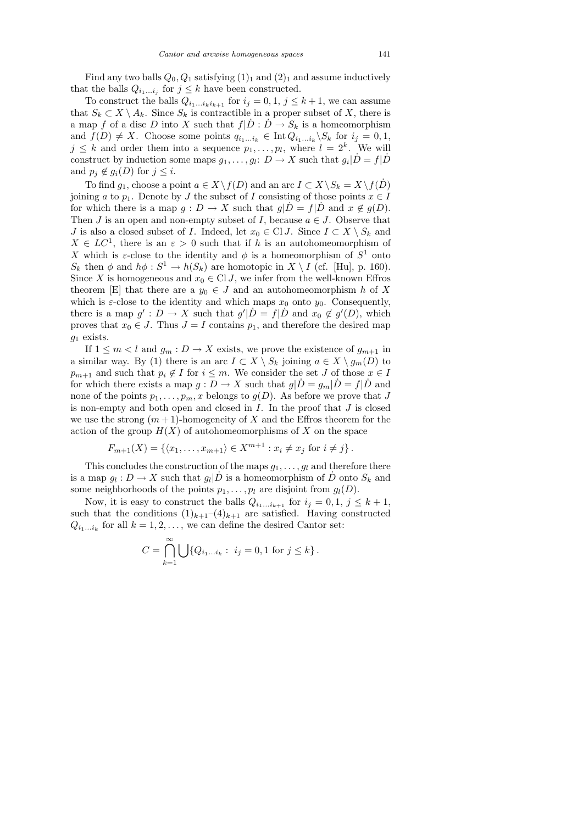Find any two balls  $Q_0, Q_1$  satisfying  $(1)_1$  and  $(2)_1$  and assume inductively that the balls  $Q_{i_1...i_j}$  for  $j \leq k$  have been constructed.

To construct the balls  $Q_{i_1...i_ki_{k+1}}$  for  $i_j = 0, 1, j \leq k+1$ , we can assume that  $S_k \subset X \setminus A_k$ . Since  $S_k$  is contractible in a proper subset of X, there is a map f of a disc D into X such that  $f|\dot{D} : \dot{D} \to S_k$  is a homeomorphism and  $f(D) \neq X$ . Choose some points  $q_{i_1...i_k} \in \text{Int } Q_{i_1...i_k} \backslash S_k$  for  $i_j = 0, 1$ ,  $j \leq k$  and order them into a sequence  $p_1, \ldots, p_l$ , where  $l = 2^k$ . We will construct by induction some maps  $g_1, \ldots, g_l: D \to X$  such that  $g_i | \dot{D} = f | \dot{D}$ and  $p_j \notin g_i(D)$  for  $j \leq i$ .

To find  $g_1$ , choose a point  $a \in X \backslash f(D)$  and an arc  $I \subset X \backslash S_k = X \backslash f(D)$ joining a to  $p_1$ . Denote by J the subset of I consisting of those points  $x \in I$ for which there is a map  $q: D \to X$  such that  $q|D = f|D$  and  $x \notin q(D)$ . Then J is an open and non-empty subset of I, because  $a \in J$ . Observe that J is also a closed subset of I. Indeed, let  $x_0 \in \text{Cl} J$ . Since  $I \subset X \setminus S_k$  and  $X \in LC^1$ , there is an  $\varepsilon > 0$  such that if h is an autohomeomorphism of X which is  $\varepsilon$ -close to the identity and  $\phi$  is a homeomorphism of  $S^1$  onto  $S_k$  then  $\phi$  and  $h\phi : S^1 \to h(S_k)$  are homotopic in  $X \setminus I$  (cf. [Hu], p. 160). Since X is homogeneous and  $x_0 \in \text{Cl } J$ , we infer from the well-known Effros theorem [E] that there are a  $y_0 \in J$  and an autohomeomorphism h of X which is  $\varepsilon$ -close to the identity and which maps  $x_0$  onto  $y_0$ . Consequently, there is a map  $g' : D \to X$  such that  $g' | D = f | D$  and  $x_0 \notin g'(D)$ , which proves that  $x_0 \in J$ . Thus  $J = I$  contains  $p_1$ , and therefore the desired map  $g_1$  exists.

If  $1 \leq m < l$  and  $g_m : D \to X$  exists, we prove the existence of  $g_{m+1}$  in a similar way. By (1) there is an arc  $I \subset X \setminus S_k$  joining  $a \in X \setminus g_m(D)$  to  $p_{m+1}$  and such that  $p_i \notin I$  for  $i \leq m$ . We consider the set J of those  $x \in I$ for which there exists a map  $g: D \to X$  such that  $g|\dot{D} = g_m|\dot{D} = f|\dot{D}$  and none of the points  $p_1, \ldots, p_m, x$  belongs to  $g(D)$ . As before we prove that J is non-empty and both open and closed in  $I$ . In the proof that  $J$  is closed we use the strong  $(m+1)$ -homogeneity of X and the Effros theorem for the action of the group  $H(X)$  of autohomeomorphisms of X on the space

$$
F_{m+1}(X) = \{ \langle x_1, \dots, x_{m+1} \rangle \in X^{m+1} : x_i \neq x_j \text{ for } i \neq j \}.
$$

This concludes the construction of the maps  $g_1, \ldots, g_l$  and therefore there is a map  $g_l: D \to X$  such that  $g_l | \dot{D}$  is a homeomorphism of  $\dot{D}$  onto  $S_k$  and some neighborhoods of the points  $p_1, \ldots, p_l$  are disjoint from  $g_l(D)$ .

Now, it is easy to construct the balls  $Q_{i_1...i_{k+1}}$  for  $i_j = 0, 1, j \leq k+1$ , such that the conditions  $(1)_{k+1}-(4)_{k+1}$  are satisfied. Having constructed  $Q_{i_1...i_k}$  for all  $k = 1, 2, ...,$  we can define the desired Cantor set:

$$
C = \bigcap_{k=1}^{\infty} \bigcup \{ Q_{i_1...i_k} : i_j = 0, 1 \text{ for } j \le k \}.
$$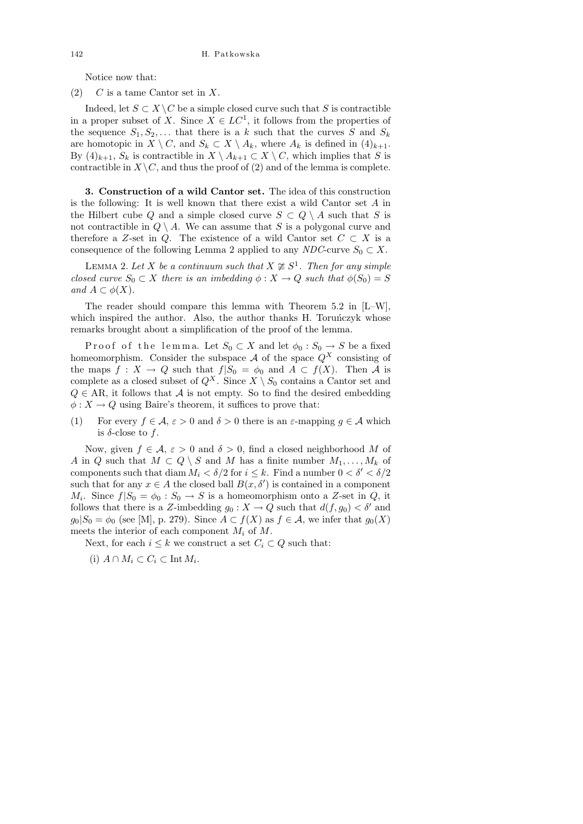Notice now that:

 $(2)$  C is a tame Cantor set in X.

Indeed, let  $S \subset X \backslash C$  be a simple closed curve such that S is contractible in a proper subset of X. Since  $X \in LC^1$ , it follows from the properties of the sequence  $S_1, S_2, \ldots$  that there is a k such that the curves S and  $S_k$ are homotopic in  $X \setminus C$ , and  $S_k \subset X \setminus A_k$ , where  $A_k$  is defined in  $(4)_{k+1}$ . By  $(4)_{k+1}$ ,  $S_k$  is contractible in  $X \setminus A_{k+1} \subset X \setminus C$ , which implies that S is contractible in  $X\setminus C$ , and thus the proof of (2) and of the lemma is complete.

3. Construction of a wild Cantor set. The idea of this construction is the following: It is well known that there exist a wild Cantor set  $A$  in the Hilbert cube Q and a simple closed curve  $S \subset Q \setminus A$  such that S is not contractible in  $Q \setminus A$ . We can assume that S is a polygonal curve and therefore a Z-set in Q. The existence of a wild Cantor set  $C \subset X$  is a consequence of the following Lemma 2 applied to any NDC-curve  $S_0 \subset X$ .

LEMMA 2. Let X be a continuum such that  $X \not\cong S^1$ . Then for any simple closed curve  $S_0 \subset X$  there is an imbedding  $\phi: X \to Q$  such that  $\phi(S_0) = S$ and  $A \subset \phi(X)$ .

The reader should compare this lemma with Theorem 5.2 in [L–W], which inspired the author. Also, the author thanks H. Torunczyk whose remarks brought about a simplification of the proof of the lemma.

P roof of the lemma. Let  $S_0 \subset X$  and let  $\phi_0 : S_0 \to S$  be a fixed homeomorphism. Consider the subspace  $A$  of the space  $Q^X$  consisting of the maps  $f: X \to Q$  such that  $f|S_0 = \phi_0$  and  $A \subset f(X)$ . Then A is complete as a closed subset of  $Q^X$ . Since  $X \setminus S_0$  contains a Cantor set and  $Q \in AR$ , it follows that A is not empty. So to find the desired embedding  $\phi: X \to Q$  using Baire's theorem, it suffices to prove that:

(1) For every  $f \in \mathcal{A}$ ,  $\varepsilon > 0$  and  $\delta > 0$  there is an  $\varepsilon$ -mapping  $g \in \mathcal{A}$  which is  $\delta$ -close to f.

Now, given  $f \in \mathcal{A}$ ,  $\varepsilon > 0$  and  $\delta > 0$ , find a closed neighborhood M of A in Q such that  $M \subset Q \setminus S$  and M has a finite number  $M_1, \ldots, M_k$  of components such that diam  $M_i < \delta/2$  for  $i \leq k$ . Find a number  $0 < \delta' < \delta/2$ such that for any  $x \in A$  the closed ball  $B(x, \delta')$  is contained in a component  $M_i$ . Since  $f|S_0 = \phi_0 : S_0 \to S$  is a homeomorphism onto a Z-set in Q, it follows that there is a Z-imbedding  $g_0: X \to Q$  such that  $d(f, g_0) < \delta'$  and  $g_0|S_0 = \phi_0$  (see [M], p. 279). Since  $A \subset f(X)$  as  $f \in \mathcal{A}$ , we infer that  $g_0(X)$ meets the interior of each component  $M_i$  of  $M$ .

Next, for each  $i \leq k$  we construct a set  $C_i \subset Q$  such that:

(i)  $A \cap M_i \subset C_i \subset \text{Int } M_i$ .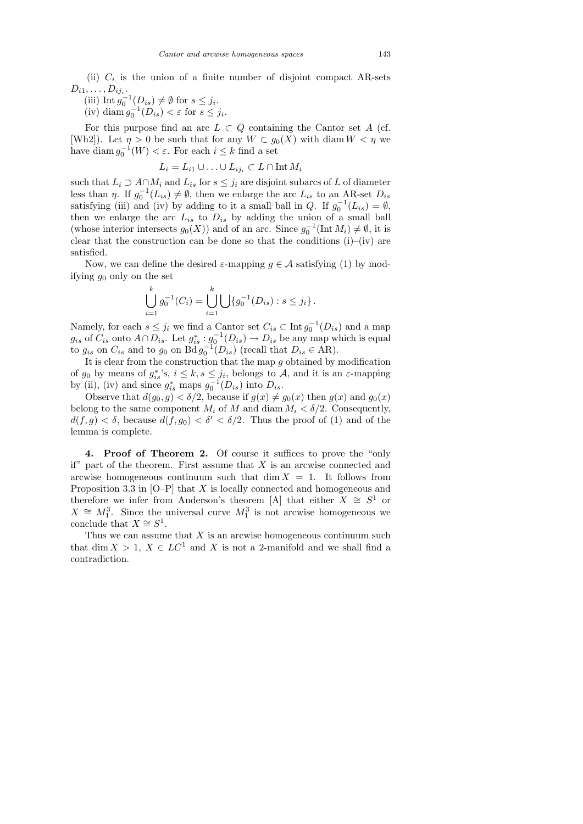(ii)  $C_i$  is the union of a finite number of disjoint compact AR-sets  $D_{i1}, \ldots, D_{ij_i}.$ 

(iii) Int  $g_0^{-1}(D_{is}) \neq \emptyset$  for  $s \leq j_i$ .<br>(iv) diam  $g_0^{-1}(D_{is}) < \varepsilon$  for  $s \leq j$ .

(iv) diam  $g_0^{-1}(D_{is}) < \varepsilon$  for  $s \leq j_i$ .

For this purpose find an arc  $L \subset Q$  containing the Cantor set A (cf. [Wh2]). Let  $\eta > 0$  be such that for any  $W \subset g_0(X)$  with diam  $W < \eta$  we have diam  $g_0^{-1}(W) < \varepsilon$ . For each  $i \leq k$  find a set

$$
L_i = L_{i1} \cup \ldots \cup L_{ij_i} \subset L \cap \text{Int } M_i
$$

such that  $L_i \supset A \cap M_i$  and  $L_{is}$  for  $s \leq j_i$  are disjoint subarcs of L of diameter less than  $\eta$ . If  $g_0^{-1}(L_{is}) \neq \emptyset$ , then we enlarge the arc  $L_{is}$  to an AR-set  $D_{is}$ satisfying (iii) and (iv) by adding to it a small ball in Q. If  $g_0^{-1}(L_{is}) = \emptyset$ , then we enlarge the arc  $L_{is}$  to  $D_{is}$  by adding the union of a small ball (whose interior intersects  $g_0(X)$ ) and of an arc. Since  $g_0^{-1}(\text{Int }M_i) \neq \emptyset$ , it is clear that the construction can be done so that the conditions  $(i)$ – $(iv)$  are satisfied.

Now, we can define the desired  $\varepsilon$ -mapping  $g \in \mathcal{A}$  satisfying (1) by modifying  $g_0$  only on the set

$$
\bigcup_{i=1}^k g_0^{-1}(C_i) = \bigcup_{i=1}^k \bigcup \{g_0^{-1}(D_{is}) : s \leq j_i\}.
$$

Namely, for each  $s \leq j_i$  we find a Cantor set  $C_{is} \subset \text{Int } g_0^{-1}(D_{is})$  and a map  $g_{is}$  of  $C_{is}$  onto  $A \cap D_{is}$ . Let  $g_{is}^* : g_0^{-1}(D_{is}) \to D_{is}$  be any map which is equal to  $g_{is}$  on  $C_{is}$  and to  $g_0$  on  $\text{Bd} g_0^{-1}(D_{is})$  (recall that  $D_{is} \in \text{AR}$ ).

It is clear from the construction that the map  $g$  obtained by modification of  $g_0$  by means of  $g_{is}^*$ 's,  $i \leq k$ ,  $s \leq j_i$ , belongs to A, and it is an  $\varepsilon$ -mapping by (ii), (iv) and since  $g_{is}^*$  maps  $g_0^{-1}(D_{is})$  into  $D_{is}$ .

Observe that  $d(g_0, g) < \delta/2$ , because if  $g(x) \neq g_0(x)$  then  $g(x)$  and  $g_0(x)$ belong to the same component  $M_i$  of M and diam  $M_i < \delta/2$ . Consequently,  $d(f, g) < \delta$ , because  $d(f, g_0) < \delta' < \delta/2$ . Thus the proof of (1) and of the lemma is complete.

4. Proof of Theorem 2. Of course it suffices to prove the "only if" part of the theorem. First assume that  $X$  is an arcwise connected and arcwise homogeneous continuum such that  $\dim X = 1$ . It follows from Proposition 3.3 in  $[0-P]$  that X is locally connected and homogeneous and therefore we infer from Anderson's theorem [A] that either  $X \cong S^1$  or  $X \cong M_1^3$ . Since the universal curve  $M_1^3$  is not arcwise homogeneous we conclude that  $X \cong S^1$ .

Thus we can assume that  $X$  is an arcwise homogeneous continuum such that dim  $X > 1$ ,  $X \in LC^1$  and X is not a 2-manifold and we shall find a contradiction.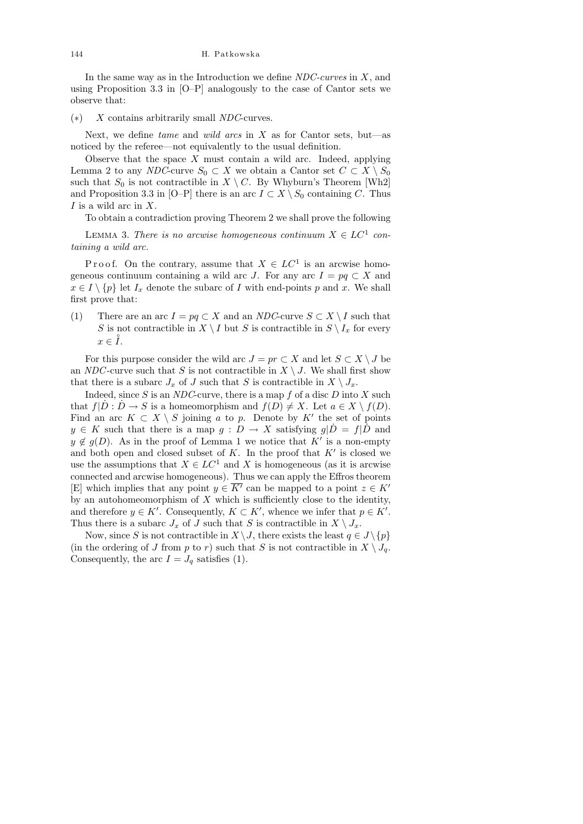In the same way as in the Introduction we define  $NDC$ -curves in  $X$ , and using Proposition 3.3 in [O–P] analogously to the case of Cantor sets we observe that:

 $(*)$  X contains arbitrarily small NDC-curves.

Next, we define tame and wild arcs in  $X$  as for Cantor sets, but—as noticed by the referee—not equivalently to the usual definition.

Observe that the space  $X$  must contain a wild arc. Indeed, applying Lemma 2 to any NDC-curve  $S_0 \subset X$  we obtain a Cantor set  $C \subset X \setminus S_0$ such that  $S_0$  is not contractible in  $X \setminus C$ . By Whyburn's Theorem [Wh2] and Proposition 3.3 in [O–P] there is an arc  $I \subset X \setminus S_0$  containing C. Thus  $I$  is a wild arc in  $X$ .

To obtain a contradiction proving Theorem 2 we shall prove the following

LEMMA 3. There is no arcwise homogeneous continuum  $X \in LC^1$  containing a wild arc.

P r o o f. On the contrary, assume that  $X \in LC^1$  is an arcwise homogeneous continuum containing a wild arc J. For any arc  $I = pq \subset X$  and  $x \in I \setminus \{p\}$  let  $I_x$  denote the subarc of I with end-points p and x. We shall first prove that:

(1) There are an arc  $I = pq \subset X$  and an NDC-curve  $S \subset X \setminus I$  such that S is not contractible in  $X \setminus I$  but S is contractible in  $S \setminus I_x$  for every  $x \in \overset{\circ}{I}$ .

For this purpose consider the wild arc  $J = pr \subset X$  and let  $S \subset X \setminus J$  be an NDC-curve such that S is not contractible in  $X \setminus J$ . We shall first show that there is a subarc  $J_x$  of J such that S is contractible in  $X \setminus J_x$ .

Indeed, since  $S$  is an NDC-curve, there is a map  $f$  of a disc  $D$  into  $X$  such that  $f|\dot{D} : \dot{D} \to S$  is a homeomorphism and  $f(D) \neq X$ . Let  $a \in X \setminus f(D)$ . Find an arc  $K \subset X \setminus S$  joining a to p. Denote by K' the set of points  $y \in K$  such that there is a map  $g: D \to X$  satisfying  $g|\dot{D}| = f|\dot{D}|$  and  $y \notin g(D)$ . As in the proof of Lemma 1 we notice that K' is a non-empty and both open and closed subset of  $K$ . In the proof that  $K'$  is closed we use the assumptions that  $X \in LC^1$  and X is homogeneous (as it is arcwise connected and arcwise homogeneous). Thus we can apply the Effros theorem [E] which implies that any point  $y \in \overline{K'}$  can be mapped to a point  $z \in K'$ by an autohomeomorphism of  $X$  which is sufficiently close to the identity, and therefore  $y \in K'$ . Consequently,  $K \subset K'$ , whence we infer that  $p \in K'$ . Thus there is a subarc  $J_x$  of J such that S is contractible in  $X \setminus J_x$ .

Now, since S is not contractible in  $X \setminus J$ , there exists the least  $q \in J \setminus \{p\}$ (in the ordering of J from p to r) such that S is not contractible in  $X \setminus J_q$ . Consequently, the arc  $I = J_q$  satisfies (1).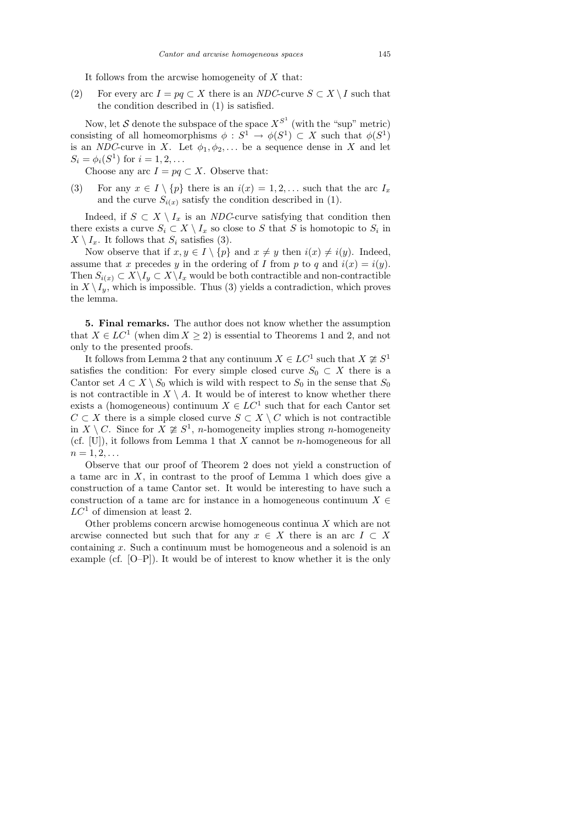It follows from the arcwise homogeneity of  $X$  that:

(2) For every arc  $I = pq \subset X$  there is an NDC-curve  $S \subset X \setminus I$  such that the condition described in (1) is satisfied.

Now, let S denote the subspace of the space  $X^{S^1}$  (with the "sup" metric) consisting of all homeomorphisms  $\phi : S^1 \to \phi(S^1) \subset X$  such that  $\phi(S^1)$ is an NDC-curve in X. Let  $\phi_1, \phi_2, \ldots$  be a sequence dense in X and let  $S_i = \phi_i(S^1)$  for  $i = 1, 2, ...$ 

Choose any arc  $I = pq \subset X$ . Observe that:

(3) For any  $x \in I \setminus \{p\}$  there is an  $i(x) = 1, 2, \ldots$  such that the arc  $I_x$ and the curve  $S_{i(x)}$  satisfy the condition described in (1).

Indeed, if  $S \subset X \setminus I_x$  is an *NDC*-curve satisfying that condition then there exists a curve  $S_i \subset X \setminus I_x$  so close to S that S is homotopic to  $S_i$  in  $X \setminus I_x$ . It follows that  $S_i$  satisfies (3).

Now observe that if  $x, y \in I \setminus \{p\}$  and  $x \neq y$  then  $i(x) \neq i(y)$ . Indeed, assume that x precedes y in the ordering of I from p to q and  $i(x) = i(y)$ . Then  $S_{i(x)} \subset X \backslash I_y \subset X \backslash I_x$  would be both contractible and non-contractible in  $X \setminus I_y$ , which is impossible. Thus (3) yields a contradiction, which proves the lemma.

5. Final remarks. The author does not know whether the assumption that  $X \in LC^1$  (when dim  $X \ge 2$ ) is essential to Theorems 1 and 2, and not only to the presented proofs.

It follows from Lemma 2 that any continuum  $X \in LC^1$  such that  $X \not\cong S^1$ satisfies the condition: For every simple closed curve  $S_0 \subset X$  there is a Cantor set  $A \subset X \setminus S_0$  which is wild with respect to  $S_0$  in the sense that  $S_0$ is not contractible in  $X \setminus A$ . It would be of interest to know whether there exists a (homogeneous) continuum  $X \in LC^1$  such that for each Cantor set  $C \subset X$  there is a simple closed curve  $S \subset X \setminus C$  which is not contractible in  $X \setminus C$ . Since for  $\overline{X} \ncong S^1$ , *n*-homogeneity implies strong *n*-homogeneity (cf.  $[U]$ ), it follows from Lemma 1 that X cannot be *n*-homogeneous for all  $n = 1, 2, \ldots$ 

Observe that our proof of Theorem 2 does not yield a construction of a tame arc in  $X$ , in contrast to the proof of Lemma 1 which does give a construction of a tame Cantor set. It would be interesting to have such a construction of a tame arc for instance in a homogeneous continuum  $X \in$  $LC<sup>1</sup>$  of dimension at least 2.

Other problems concern arcwise homogeneous continua  $X$  which are not arcwise connected but such that for any  $x \in X$  there is an arc  $I \subset X$ containing  $x$ . Such a continuum must be homogeneous and a solenoid is an example (cf. [O–P]). It would be of interest to know whether it is the only